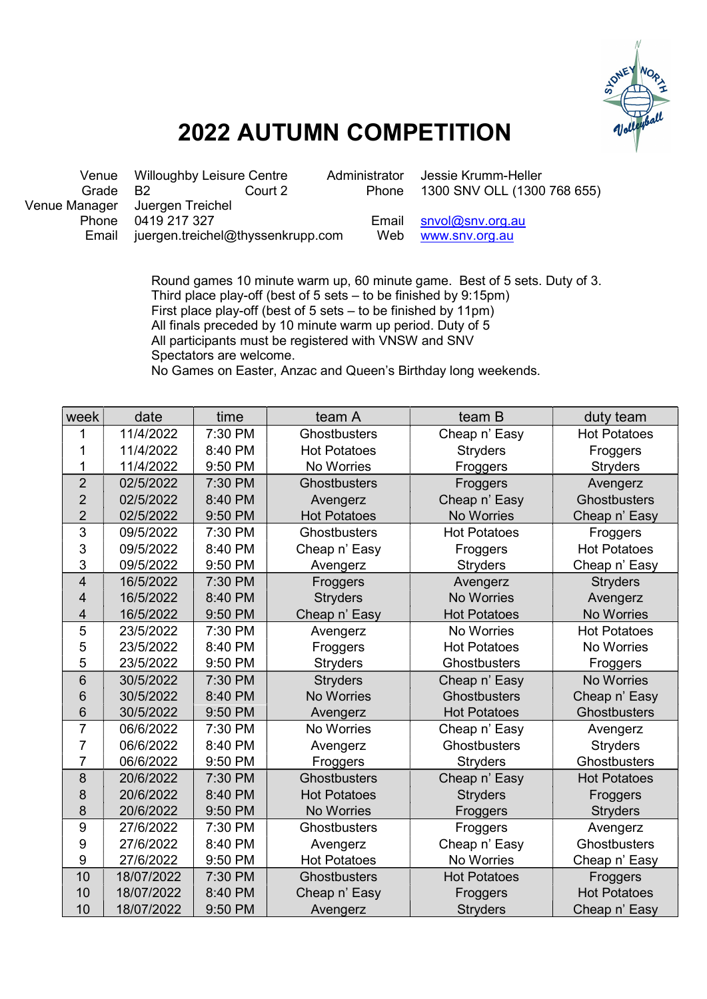

## 2022 AUTUMN COMPETITION

|       | Venue Willoughby Leisure Centre   | Administrator | Jessie Krumm-Heller         |  |  |
|-------|-----------------------------------|---------------|-----------------------------|--|--|
| Grade | - R2<br>Court 2                   | Phone         | 1300 SNV OLL (1300 768 655) |  |  |
|       | Venue Manager Juergen Treichel    |               |                             |  |  |
| Phone | 0419 217 327                      |               | Email $snvol@snv.org.au$    |  |  |
| Email | juergen.treichel@thyssenkrupp.com | Web           | www.snv.org.au              |  |  |
|       |                                   |               |                             |  |  |

 Round games 10 minute warm up, 60 minute game. Best of 5 sets. Duty of 3. Third place play-off (best of 5 sets – to be finished by 9:15pm) First place play-off (best of 5 sets – to be finished by 11pm) All finals preceded by 10 minute warm up period. Duty of 5 All participants must be registered with VNSW and SNV Spectators are welcome. No Games on Easter, Anzac and Queen's Birthday long weekends.

| week             | date       | time    | team A              | team B              | duty team           |
|------------------|------------|---------|---------------------|---------------------|---------------------|
| 1                | 11/4/2022  | 7:30 PM | Ghostbusters        | Cheap n' Easy       | <b>Hot Potatoes</b> |
| 1                | 11/4/2022  | 8:40 PM | <b>Hot Potatoes</b> | <b>Stryders</b>     | Froggers            |
| 1                | 11/4/2022  | 9:50 PM | No Worries          | Froggers            | <b>Stryders</b>     |
| $\overline{2}$   | 02/5/2022  | 7:30 PM | <b>Ghostbusters</b> | Froggers            | Avengerz            |
| $\overline{2}$   | 02/5/2022  | 8:40 PM | Avengerz            | Cheap n' Easy       | <b>Ghostbusters</b> |
| $\overline{2}$   | 02/5/2022  | 9:50 PM | <b>Hot Potatoes</b> | No Worries          | Cheap n' Easy       |
| 3                | 09/5/2022  | 7:30 PM | Ghostbusters        | <b>Hot Potatoes</b> | Froggers            |
| 3                | 09/5/2022  | 8:40 PM | Cheap n' Easy       | Froggers            | <b>Hot Potatoes</b> |
| 3                | 09/5/2022  | 9:50 PM | Avengerz            | <b>Stryders</b>     | Cheap n' Easy       |
| $\overline{4}$   | 16/5/2022  | 7:30 PM | Froggers            | Avengerz            | <b>Stryders</b>     |
| 4                | 16/5/2022  | 8:40 PM | <b>Stryders</b>     | <b>No Worries</b>   | Avengerz            |
| 4                | 16/5/2022  | 9:50 PM | Cheap n' Easy       | <b>Hot Potatoes</b> | No Worries          |
| 5                | 23/5/2022  | 7:30 PM | Avengerz            | No Worries          | <b>Hot Potatoes</b> |
| 5                | 23/5/2022  | 8:40 PM | Froggers            | <b>Hot Potatoes</b> | <b>No Worries</b>   |
| 5                | 23/5/2022  | 9:50 PM | <b>Stryders</b>     | Ghostbusters        | Froggers            |
| 6                | 30/5/2022  | 7:30 PM | <b>Stryders</b>     | Cheap n' Easy       | <b>No Worries</b>   |
| 6                | 30/5/2022  | 8:40 PM | <b>No Worries</b>   | <b>Ghostbusters</b> | Cheap n' Easy       |
| 6                | 30/5/2022  | 9:50 PM | Avengerz            | <b>Hot Potatoes</b> | Ghostbusters        |
| $\overline{7}$   | 06/6/2022  | 7:30 PM | No Worries          | Cheap n' Easy       | Avengerz            |
| 7                | 06/6/2022  | 8:40 PM | Avengerz            | <b>Ghostbusters</b> | <b>Stryders</b>     |
| $\overline{7}$   | 06/6/2022  | 9:50 PM | Froggers            | <b>Stryders</b>     | Ghostbusters        |
| 8                | 20/6/2022  | 7:30 PM | <b>Ghostbusters</b> | Cheap n' Easy       | <b>Hot Potatoes</b> |
| 8                | 20/6/2022  | 8:40 PM | <b>Hot Potatoes</b> | <b>Stryders</b>     | Froggers            |
| 8                | 20/6/2022  | 9:50 PM | No Worries          | Froggers            | <b>Stryders</b>     |
| 9                | 27/6/2022  | 7:30 PM | <b>Ghostbusters</b> | Froggers            | Avengerz            |
| 9                | 27/6/2022  | 8:40 PM | Avengerz            | Cheap n' Easy       | <b>Ghostbusters</b> |
| $\boldsymbol{9}$ | 27/6/2022  | 9:50 PM | <b>Hot Potatoes</b> | No Worries          | Cheap n' Easy       |
| 10               | 18/07/2022 | 7:30 PM | <b>Ghostbusters</b> | <b>Hot Potatoes</b> | Froggers            |
| 10               | 18/07/2022 | 8:40 PM | Cheap n' Easy       | Froggers            | <b>Hot Potatoes</b> |
| 10               | 18/07/2022 | 9:50 PM | Avengerz            | <b>Stryders</b>     | Cheap n' Easy       |